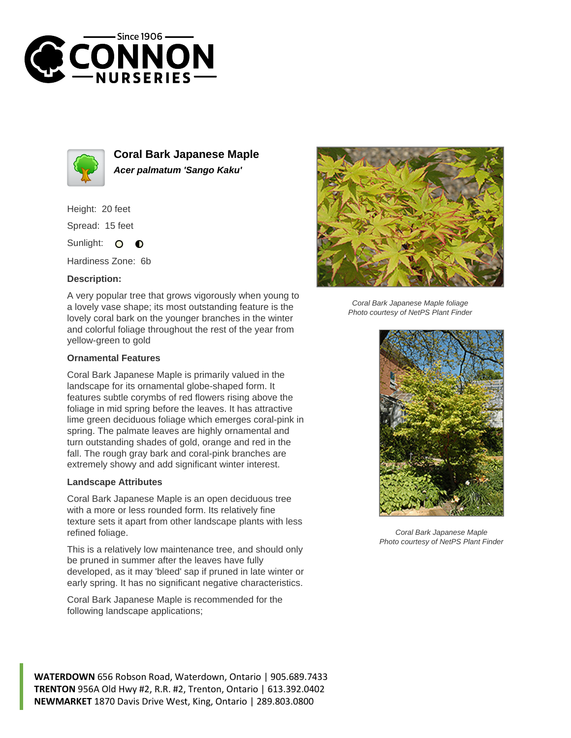



**Coral Bark Japanese Maple Acer palmatum 'Sango Kaku'**

Height: 20 feet Spread: 15 feet

Sunlight: O  $\bullet$ 

Hardiness Zone: 6b

## **Description:**

A very popular tree that grows vigorously when young to a lovely vase shape; its most outstanding feature is the lovely coral bark on the younger branches in the winter and colorful foliage throughout the rest of the year from yellow-green to gold

## **Ornamental Features**

Coral Bark Japanese Maple is primarily valued in the landscape for its ornamental globe-shaped form. It features subtle corymbs of red flowers rising above the foliage in mid spring before the leaves. It has attractive lime green deciduous foliage which emerges coral-pink in spring. The palmate leaves are highly ornamental and turn outstanding shades of gold, orange and red in the fall. The rough gray bark and coral-pink branches are extremely showy and add significant winter interest.

## **Landscape Attributes**

Coral Bark Japanese Maple is an open deciduous tree with a more or less rounded form. Its relatively fine texture sets it apart from other landscape plants with less refined foliage.

This is a relatively low maintenance tree, and should only be pruned in summer after the leaves have fully developed, as it may 'bleed' sap if pruned in late winter or early spring. It has no significant negative characteristics.

Coral Bark Japanese Maple is recommended for the following landscape applications;



Coral Bark Japanese Maple foliage Photo courtesy of NetPS Plant Finder



Coral Bark Japanese Maple Photo courtesy of NetPS Plant Finder

**WATERDOWN** 656 Robson Road, Waterdown, Ontario | 905.689.7433 **TRENTON** 956A Old Hwy #2, R.R. #2, Trenton, Ontario | 613.392.0402 **NEWMARKET** 1870 Davis Drive West, King, Ontario | 289.803.0800